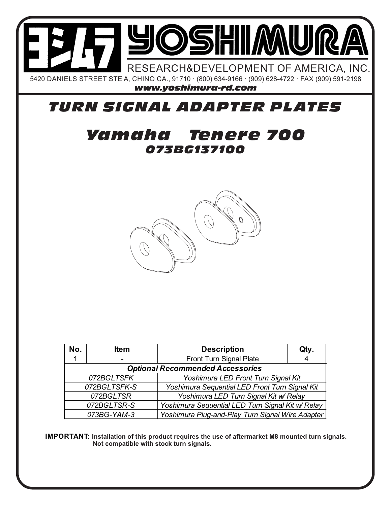

## *TURN SIGNAL ADAPTER PLATES*

## *073BG137100 Yamaha Tenere 700*



| No.                                     | <b>Item</b>                                                     | <b>Description</b>                               | Qty. |
|-----------------------------------------|-----------------------------------------------------------------|--------------------------------------------------|------|
|                                         |                                                                 | <b>Front Turn Signal Plate</b>                   |      |
| <b>Optional Recommended Accessories</b> |                                                                 |                                                  |      |
| 072BGLTSFK                              |                                                                 | Yoshimura LED Front Turn Signal Kit              |      |
| 072BGLTSFK-S                            |                                                                 | Yoshimura Sequential LED Front Turn Signal Kit   |      |
| 072BGLTSR                               |                                                                 | Yoshimura LED Turn Signal Kit w/ Relay           |      |
| 072BGLTSR-S                             |                                                                 | Yoshimura Sequential LED Turn Signal Kit w Relay |      |
|                                         | Yoshimura Plug-and-Play Turn Signal Wire Adapter<br>073BG-YAM-3 |                                                  |      |

**IMPORTANT: Installation of this product requires the use of aftermarket M8 mounted turn signals. Not compatible with stock turn signals.**